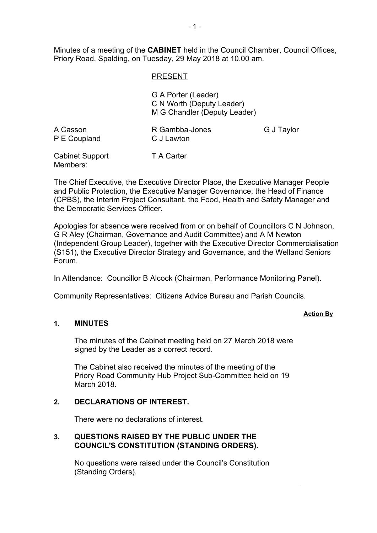Minutes of a meeting of the **CABINET** held in the Council Chamber, Council Offices, Priory Road, Spalding, on Tuesday, 29 May 2018 at 10.00 am.

## PRESENT

G A Porter (Leader) C N Worth (Deputy Leader) M G Chandler (Deputy Leader)

| A Casson     | R Gambba-Jones | G J Taylor |
|--------------|----------------|------------|
| P E Coupland | C J Lawton     |            |
|              |                |            |

Cabinet Support Members: T A Carter

The Chief Executive, the Executive Director Place, the Executive Manager People and Public Protection, the Executive Manager Governance, the Head of Finance (CPBS), the Interim Project Consultant, the Food, Health and Safety Manager and the Democratic Services Officer.

Apologies for absence were received from or on behalf of Councillors C N Johnson, G R Aley (Chairman, Governance and Audit Committee) and A M Newton (Independent Group Leader), together with the Executive Director Commercialisation (S151), the Executive Director Strategy and Governance, and the Welland Seniors Forum.

**Action By**

In Attendance: Councillor B Alcock (Chairman, Performance Monitoring Panel).

Community Representatives: Citizens Advice Bureau and Parish Councils.

## **1. MINUTES**

The minutes of the Cabinet meeting held on 27 March 2018 were signed by the Leader as a correct record.

The Cabinet also received the minutes of the meeting of the Priory Road Community Hub Project Sub-Committee held on 19 March 2018.

## **2. DECLARATIONS OF INTEREST.**

There were no declarations of interest.

#### **3. QUESTIONS RAISED BY THE PUBLIC UNDER THE COUNCIL'S CONSTITUTION (STANDING ORDERS).**

No questions were raised under the Council's Constitution (Standing Orders).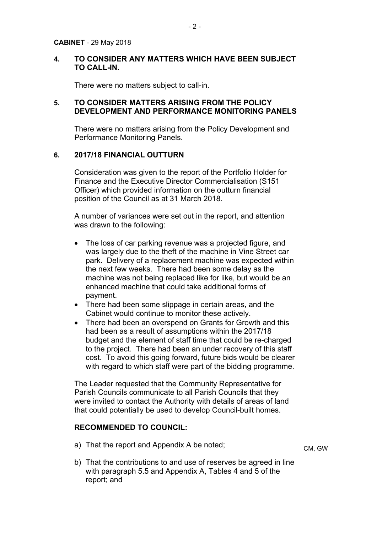#### **4. TO CONSIDER ANY MATTERS WHICH HAVE BEEN SUBJECT TO CALL-IN.**

There were no matters subject to call-in.

#### **5. TO CONSIDER MATTERS ARISING FROM THE POLICY DEVELOPMENT AND PERFORMANCE MONITORING PANELS**

There were no matters arising from the Policy Development and Performance Monitoring Panels.

#### **6. 2017/18 FINANCIAL OUTTURN**

Consideration was given to the report of the Portfolio Holder for Finance and the Executive Director Commercialisation (S151 Officer) which provided information on the outturn financial position of the Council as at 31 March 2018.

A number of variances were set out in the report, and attention was drawn to the following:

- The loss of car parking revenue was a projected figure, and was largely due to the theft of the machine in Vine Street car park. Delivery of a replacement machine was expected within the next few weeks. There had been some delay as the machine was not being replaced like for like, but would be an enhanced machine that could take additional forms of payment.
- There had been some slippage in certain areas, and the Cabinet would continue to monitor these actively.
- There had been an overspend on Grants for Growth and this had been as a result of assumptions within the 2017/18 budget and the element of staff time that could be re-charged to the project. There had been an under recovery of this staff cost. To avoid this going forward, future bids would be clearer with regard to which staff were part of the bidding programme.

The Leader requested that the Community Representative for Parish Councils communicate to all Parish Councils that they were invited to contact the Authority with details of areas of land that could potentially be used to develop Council-built homes.

## **RECOMMENDED TO COUNCIL:**

a) That the report and Appendix A be noted;

- CM, GW
- b) That the contributions to and use of reserves be agreed in line with paragraph 5.5 and Appendix A, Tables 4 and 5 of the report; and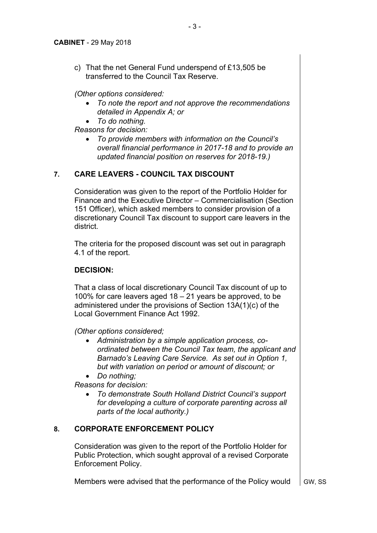c) That the net General Fund underspend of £13,505 be transferred to the Council Tax Reserve.

*(Other options considered:*

 *To note the report and not approve the recommendations detailed in Appendix A; or*

*To do nothing.*

*Reasons for decision:*

 *To provide members with information on the Council's overall financial performance in 2017-18 and to provide an updated financial position on reserves for 2018-19.)*

# **7. CARE LEAVERS - COUNCIL TAX DISCOUNT**

Consideration was given to the report of the Portfolio Holder for Finance and the Executive Director – Commercialisation (Section 151 Officer), which asked members to consider provision of a discretionary Council Tax discount to support care leavers in the district.

The criteria for the proposed discount was set out in paragraph 4.1 of the report.

## **DECISION:**

That a class of local discretionary Council Tax discount of up to 100% for care leavers aged 18 – 21 years be approved, to be administered under the provisions of Section 13A(1)(c) of the Local Government Finance Act 1992.

*(Other options considered;*

- *Administration by a simple application process, coordinated between the Council Tax team, the applicant and Barnado's Leaving Care Service. As set out in Option 1, but with variation on period or amount of discount; or*
- *Do nothing;*

*Reasons for decision:*

 *To demonstrate South Holland District Council's support for developing a culture of corporate parenting across all parts of the local authority.)*

# **8. CORPORATE ENFORCEMENT POLICY**

Consideration was given to the report of the Portfolio Holder for Public Protection, which sought approval of a revised Corporate Enforcement Policy.

Members were advised that the performance of the Policy would  $\Box$  GW, SS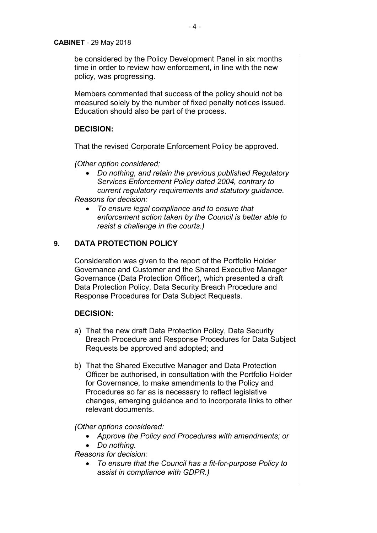#### **CABINET** - 29 May 2018

be considered by the Policy Development Panel in six months time in order to review how enforcement, in line with the new policy, was progressing.

Members commented that success of the policy should not be measured solely by the number of fixed penalty notices issued. Education should also be part of the process.

## **DECISION:**

That the revised Corporate Enforcement Policy be approved.

*(Other option considered;*

- *Do nothing, and retain the previous published Regulatory Services Enforcement Policy dated 2004, contrary to current regulatory requirements and statutory guidance. Reasons for decision:*
- - *To ensure legal compliance and to ensure that enforcement action taken by the Council is better able to resist a challenge in the courts.)*

# **9. DATA PROTECTION POLICY**

Consideration was given to the report of the Portfolio Holder Governance and Customer and the Shared Executive Manager Governance (Data Protection Officer), which presented a draft Data Protection Policy, Data Security Breach Procedure and Response Procedures for Data Subject Requests.

## **DECISION:**

- a) That the new draft Data Protection Policy, Data Security Breach Procedure and Response Procedures for Data Subject Requests be approved and adopted; and
- b) That the Shared Executive Manager and Data Protection Officer be authorised, in consultation with the Portfolio Holder for Governance, to make amendments to the Policy and Procedures so far as is necessary to reflect legislative changes, emerging guidance and to incorporate links to other relevant documents.

*(Other options considered:*

- *Approve the Policy and Procedures with amendments; or*
- *Do nothing.*

*Reasons for decision:*

 *To ensure that the Council has a fit-for-purpose Policy to assist in compliance with GDPR.)*